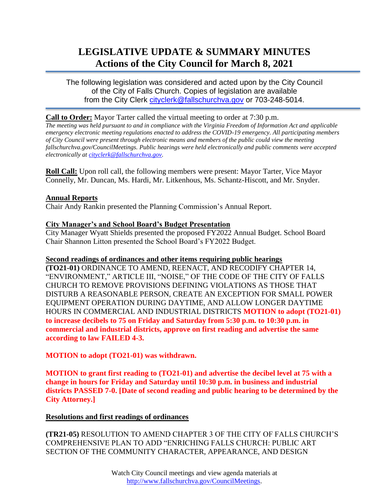# **LEGISLATIVE UPDATE & SUMMARY MINUTES Actions of the City Council for March 8, 2021**

The following legislation was considered and acted upon by the City Council of the City of Falls Church. Copies of legislation are available from the City Clerk [cityclerk@fallschurchva.gov](mailto:cityclerk@fallschurchva.gov) or 703-248-5014.

## **Call to Order:** Mayor Tarter called the virtual meeting to order at 7:30 p.m.

*The meeting was held pursuant to and in compliance with the Virginia Freedom of Information Act and applicable emergency electronic meeting regulations enacted to address the COVID-19 emergency. All participating members of City Council were present through electronic means and members of the public could view the meeting fallschurchva.gov/CouncilMeetings. Public hearings were held electronically and public comments were accepted electronically at [cityclerk@fallschurchva.gov.](mailto:cityclerk@fallschurchva.gov)*

**Roll Call:** Upon roll call, the following members were present: Mayor Tarter, Vice Mayor Connelly, Mr. Duncan, Ms. Hardi, Mr. Litkenhous, Ms. Schantz-Hiscott, and Mr. Snyder.

### **Annual Reports**

Chair Andy Rankin presented the Planning Commission's Annual Report.

## **City Manager's and School Board's Budget Presentation**

City Manager Wyatt Shields presented the proposed FY2022 Annual Budget. School Board Chair Shannon Litton presented the School Board's FY2022 Budget.

### **Second readings of ordinances and other items requiring public hearings**

**(TO21-01)** ORDINANCE TO AMEND, REENACT, AND RECODIFY CHAPTER 14, "ENVIRONMENT," ARTICLE III, "NOISE," OF THE CODE OF THE CITY OF FALLS CHURCH TO REMOVE PROVISIONS DEFINING VIOLATIONS AS THOSE THAT DISTURB A REASONABLE PERSON, CREATE AN EXCEPTION FOR SMALL POWER EQUIPMENT OPERATION DURING DAYTIME, AND ALLOW LONGER DAYTIME HOURS IN COMMERCIAL AND INDUSTRIAL DISTRICTS **MOTION to adopt (TO21-01) to increase decibels to 75 on Friday and Saturday from 5:30 p.m. to 10:30 p.m. in commercial and industrial districts, approve on first reading and advertise the same according to law FAILED 4-3.**

**MOTION to adopt (TO21-01) was withdrawn.**

**MOTION to grant first reading to (TO21-01) and advertise the decibel level at 75 with a change in hours for Friday and Saturday until 10:30 p.m. in business and industrial districts PASSED 7-0. [Date of second reading and public hearing to be determined by the City Attorney.]**

## **Resolutions and first readings of ordinances**

**(TR21-05)** RESOLUTION TO AMEND CHAPTER 3 OF THE CITY OF FALLS CHURCH'S COMPREHENSIVE PLAN TO ADD "ENRICHING FALLS CHURCH: PUBLIC ART SECTION OF THE COMMUNITY CHARACTER, APPEARANCE, AND DESIGN